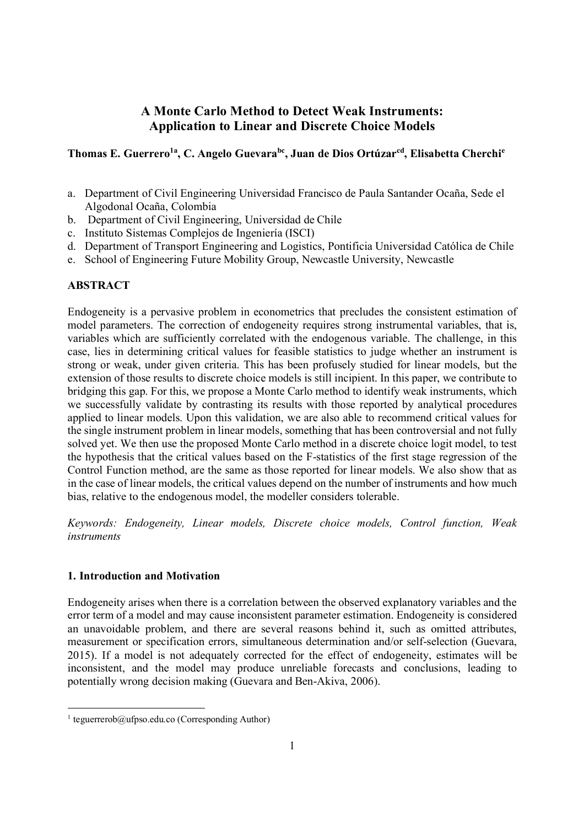# **A Monte Carlo Method to Detect Weak Instruments: Application to Linear and Discrete Choice Models**

# **Thomas E. Guerrero1a, C. Angelo Guevarabc, Juan de Dios Ortúzarcd, Elisabetta Cherchi<sup>e</sup>**

- a. Department of Civil Engineering Universidad Francisco de Paula Santander Ocaña, Sede el Algodonal Ocaña, Colombia
- b. Department of Civil Engineering, Universidad de Chile
- c. Instituto Sistemas Complejos de Ingeniería (ISCI)
- d. Department of Transport Engineering and Logistics, Pontificia Universidad Católica de Chile
- e. School of Engineering Future Mobility Group, Newcastle University, Newcastle

## **ABSTRACT**

Endogeneity is a pervasive problem in econometrics that precludes the consistent estimation of model parameters. The correction of endogeneity requires strong instrumental variables, that is, variables which are sufficiently correlated with the endogenous variable. The challenge, in this case, lies in determining critical values for feasible statistics to judge whether an instrument is strong or weak, under given criteria. This has been profusely studied for linear models, but the extension of those results to discrete choice models is still incipient. In this paper, we contribute to bridging this gap. For this, we propose a Monte Carlo method to identify weak instruments, which we successfully validate by contrasting its results with those reported by analytical procedures applied to linear models. Upon this validation, we are also able to recommend critical values for the single instrument problem in linear models, something that has been controversial and not fully solved yet. We then use the proposed Monte Carlo method in a discrete choice logit model, to test the hypothesis that the critical values based on the F-statistics of the first stage regression of the Control Function method, are the same as those reported for linear models. We also show that as in the case of linear models, the critical values depend on the number of instruments and how much bias, relative to the endogenous model, the modeller considers tolerable.

*Keywords: Endogeneity, Linear models, Discrete choice models, Control function, Weak instruments*

## **1. Introduction and Motivation**

Endogeneity arises when there is a correlation between the observed explanatory variables and the error term of a model and may cause inconsistent parameter estimation. Endogeneity is considered an unavoidable problem, and there are several reasons behind it, such as omitted attributes, measurement or specification errors, simultaneous determination and/or self-selection (Guevara, 2015). If a model is not adequately corrected for the effect of endogeneity, estimates will be inconsistent, and the model may produce unreliable forecasts and conclusions, leading to potentially wrong decision making (Guevara and Ben-Akiva, 2006).

<sup>&</sup>lt;sup>1</sup> teguerrerob@ufpso.edu.co (Corresponding Author)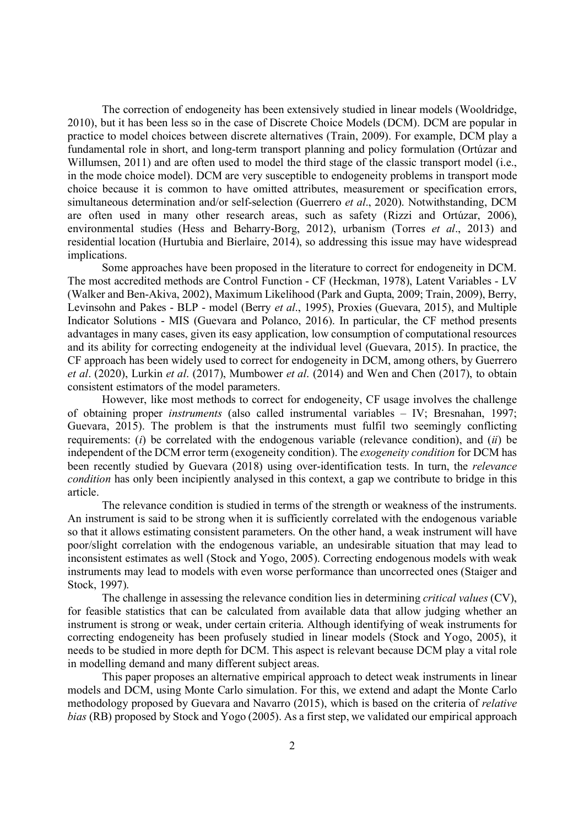The correction of endogeneity has been extensively studied in linear models (Wooldridge, 2010), but it has been less so in the case of Discrete Choice Models (DCM). DCM are popular in practice to model choices between discrete alternatives (Train, 2009). For example, DCM play a fundamental role in short, and long-term transport planning and policy formulation (Ortúzar and Willumsen, 2011) and are often used to model the third stage of the classic transport model (i.e., in the mode choice model). DCM are very susceptible to endogeneity problems in transport mode choice because it is common to have omitted attributes, measurement or specification errors, simultaneous determination and/or self-selection (Guerrero *et al*., 2020). Notwithstanding, DCM are often used in many other research areas, such as safety (Rizzi and Ortúzar, 2006), environmental studies (Hess and Beharry-Borg, 2012), urbanism (Torres *et al*., 2013) and residential location (Hurtubia and Bierlaire, 2014), so addressing this issue may have widespread implications.

Some approaches have been proposed in the literature to correct for endogeneity in DCM. The most accredited methods are Control Function - CF (Heckman, 1978), Latent Variables - LV (Walker and Ben-Akiva, 2002), Maximum Likelihood (Park and Gupta, 2009; Train, 2009), Berry, Levinsohn and Pakes - BLP - model (Berry *et al*., 1995), Proxies (Guevara, 2015), and Multiple Indicator Solutions - MIS (Guevara and Polanco, 2016). In particular, the CF method presents advantages in many cases, given its easy application, low consumption of computational resources and its ability for correcting endogeneity at the individual level (Guevara, 2015). In practice, the CF approach has been widely used to correct for endogeneity in DCM, among others, by Guerrero *et al*. (2020), Lurkin *et al*. (2017), Mumbower *et al*. (2014) and Wen and Chen (2017), to obtain consistent estimators of the model parameters.

However, like most methods to correct for endogeneity, CF usage involves the challenge of obtaining proper *instruments* (also called instrumental variables – IV; Bresnahan, 1997; Guevara, 2015). The problem is that the instruments must fulfil two seemingly conflicting requirements: (*i*) be correlated with the endogenous variable (relevance condition), and (*ii*) be independent of the DCM error term (exogeneity condition). The *exogeneity condition* for DCM has been recently studied by Guevara (2018) using over-identification tests. In turn, the *relevance condition* has only been incipiently analysed in this context, a gap we contribute to bridge in this article.

The relevance condition is studied in terms of the strength or weakness of the instruments. An instrument is said to be strong when it is sufficiently correlated with the endogenous variable so that it allows estimating consistent parameters. On the other hand, a weak instrument will have poor/slight correlation with the endogenous variable, an undesirable situation that may lead to inconsistent estimates as well (Stock and Yogo, 2005). Correcting endogenous models with weak instruments may lead to models with even worse performance than uncorrected ones (Staiger and Stock, 1997).

The challenge in assessing the relevance condition lies in determining *critical values* (CV), for feasible statistics that can be calculated from available data that allow judging whether an instrument is strong or weak, under certain criteria. Although identifying of weak instruments for correcting endogeneity has been profusely studied in linear models (Stock and Yogo, 2005), it needs to be studied in more depth for DCM. This aspect is relevant because DCM play a vital role in modelling demand and many different subject areas.

This paper proposes an alternative empirical approach to detect weak instruments in linear models and DCM, using Monte Carlo simulation. For this, we extend and adapt the Monte Carlo methodology proposed by Guevara and Navarro (2015), which is based on the criteria of *relative bias* (RB) proposed by Stock and Yogo (2005). As a first step, we validated our empirical approach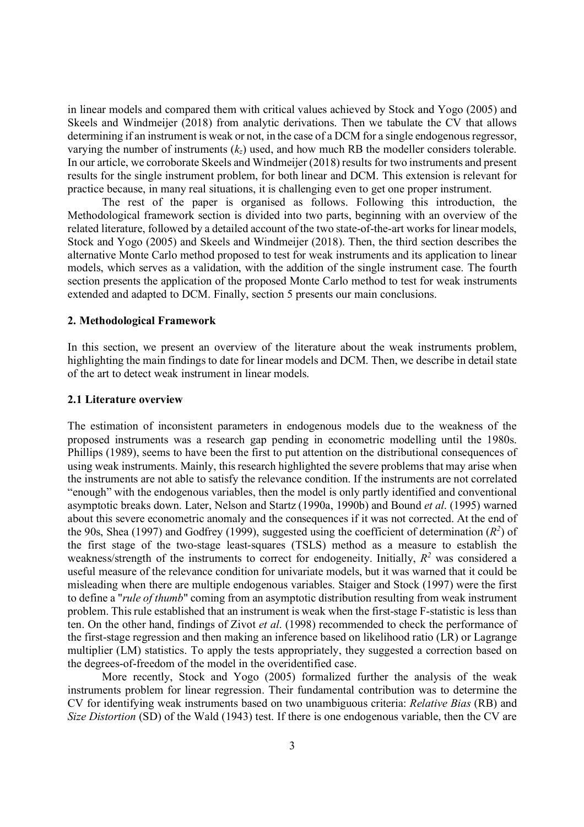in linear models and compared them with critical values achieved by Stock and Yogo (2005) and Skeels and Windmeijer (2018) from analytic derivations. Then we tabulate the CV that allows determining if an instrument is weak or not, in the case of a DCM for a single endogenous regressor, varying the number of instruments  $(k_z)$  used, and how much RB the modeller considers tolerable. In our article, we corroborate Skeels and Windmeijer (2018) results for two instruments and present results for the single instrument problem, for both linear and DCM. This extension is relevant for practice because, in many real situations, it is challenging even to get one proper instrument.

The rest of the paper is organised as follows. Following this introduction, the Methodological framework section is divided into two parts, beginning with an overview of the related literature, followed by a detailed account of the two state-of-the-art works for linear models, Stock and Yogo (2005) and Skeels and Windmeijer (2018). Then, the third section describes the alternative Monte Carlo method proposed to test for weak instruments and its application to linear models, which serves as a validation, with the addition of the single instrument case. The fourth section presents the application of the proposed Monte Carlo method to test for weak instruments extended and adapted to DCM. Finally, section 5 presents our main conclusions.

## **2. Methodological Framework**

In this section, we present an overview of the literature about the weak instruments problem, highlighting the main findings to date for linear models and DCM. Then, we describe in detail state of the art to detect weak instrument in linear models.

### **2.1 Literature overview**

The estimation of inconsistent parameters in endogenous models due to the weakness of the proposed instruments was a research gap pending in econometric modelling until the 1980s. Phillips (1989), seems to have been the first to put attention on the distributional consequences of using weak instruments. Mainly, this research highlighted the severe problems that may arise when the instruments are not able to satisfy the relevance condition. If the instruments are not correlated "enough" with the endogenous variables, then the model is only partly identified and conventional asymptotic breaks down. Later, Nelson and Startz (1990a, 1990b) and Bound *et al*. (1995) warned about this severe econometric anomaly and the consequences if it was not corrected. At the end of the 90s, Shea (1997) and Godfrey (1999), suggested using the coefficient of determination  $(R^2)$  of the first stage of the two-stage least-squares (TSLS) method as a measure to establish the weakness/strength of the instruments to correct for endogeneity. Initially,  $R^2$  was considered a useful measure of the relevance condition for univariate models, but it was warned that it could be misleading when there are multiple endogenous variables. Staiger and Stock (1997) were the first to define a "*rule of thumb*" coming from an asymptotic distribution resulting from weak instrument problem. This rule established that an instrument is weak when the first-stage F-statistic is less than ten. On the other hand, findings of Zivot *et al*. (1998) recommended to check the performance of the first-stage regression and then making an inference based on likelihood ratio (LR) or Lagrange multiplier (LM) statistics. To apply the tests appropriately, they suggested a correction based on the degrees-of-freedom of the model in the overidentified case.

More recently, Stock and Yogo (2005) formalized further the analysis of the weak instruments problem for linear regression. Their fundamental contribution was to determine the CV for identifying weak instruments based on two unambiguous criteria: *Relative Bias* (RB) and *Size Distortion* (SD) of the Wald (1943) test. If there is one endogenous variable, then the CV are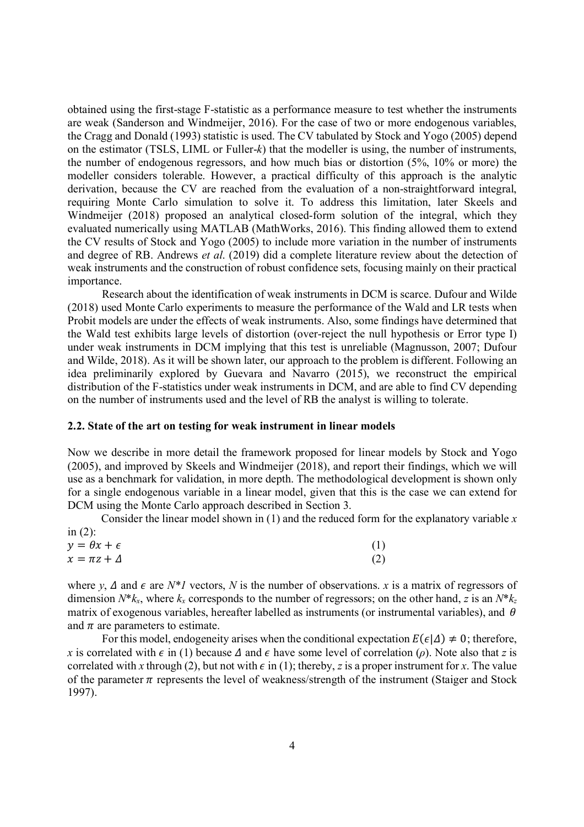obtained using the first-stage F-statistic as a performance measure to test whether the instruments are weak (Sanderson and Windmeijer, 2016). For the case of two or more endogenous variables, the Cragg and Donald (1993) statistic is used. The CV tabulated by Stock and Yogo (2005) depend on the estimator (TSLS, LIML or Fuller-*k*) that the modeller is using, the number of instruments, the number of endogenous regressors, and how much bias or distortion (5%, 10% or more) the modeller considers tolerable. However, a practical difficulty of this approach is the analytic derivation, because the CV are reached from the evaluation of a non-straightforward integral, requiring Monte Carlo simulation to solve it. To address this limitation, later Skeels and Windmeijer (2018) proposed an analytical closed-form solution of the integral, which they evaluated numerically using MATLAB (MathWorks, 2016). This finding allowed them to extend the CV results of Stock and Yogo (2005) to include more variation in the number of instruments and degree of RB. Andrews *et al*. (2019) did a complete literature review about the detection of weak instruments and the construction of robust confidence sets, focusing mainly on their practical importance.

Research about the identification of weak instruments in DCM is scarce. Dufour and Wilde (2018) used Monte Carlo experiments to measure the performance of the Wald and LR tests when Probit models are under the effects of weak instruments. Also, some findings have determined that the Wald test exhibits large levels of distortion (over-reject the null hypothesis or Error type I) under weak instruments in DCM implying that this test is unreliable (Magnusson, 2007; Dufour and Wilde, 2018). As it will be shown later, our approach to the problem is different. Following an idea preliminarily explored by Guevara and Navarro (2015), we reconstruct the empirical distribution of the F-statistics under weak instruments in DCM, and are able to find CV depending on the number of instruments used and the level of RB the analyst is willing to tolerate.

### **2.2. State of the art on testing for weak instrument in linear models**

Now we describe in more detail the framework proposed for linear models by Stock and Yogo (2005), and improved by Skeels and Windmeijer (2018), and report their findings, which we will use as a benchmark for validation, in more depth. The methodological development is shown only for a single endogenous variable in a linear model, given that this is the case we can extend for DCM using the Monte Carlo approach described in Section 3.

Consider the linear model shown in (1) and the reduced form for the explanatory variable *x* in  $(2)$ :

| $y = \theta x + \epsilon$ | (1) |
|---------------------------|-----|
| $x = \pi z + \Delta$      | (2) |

where *y*,  $\Delta$  and  $\epsilon$  are *N\*1* vectors, *N* is the number of observations. *x* is a matrix of regressors of dimension  $N^*k_x$ , where  $k_x$  corresponds to the number of regressors; on the other hand, *z* is an  $N^*k_z$ matrix of exogenous variables, hereafter labelled as instruments (or instrumental variables), and  $\theta$ and  $\pi$  are parameters to estimate.

For this model, endogeneity arises when the conditional expectation  $E(\epsilon | \Delta) \neq 0$ ; therefore, *x* is correlated with  $\epsilon$  in (1) because  $\Delta$  and  $\epsilon$  have some level of correlation ( $\rho$ ). Note also that *z* is correlated with *x* through (2), but not with  $\epsilon$  in (1); thereby, *z* is a proper instrument for *x*. The value of the parameter  $\pi$  represents the level of weakness/strength of the instrument (Staiger and Stock 1997).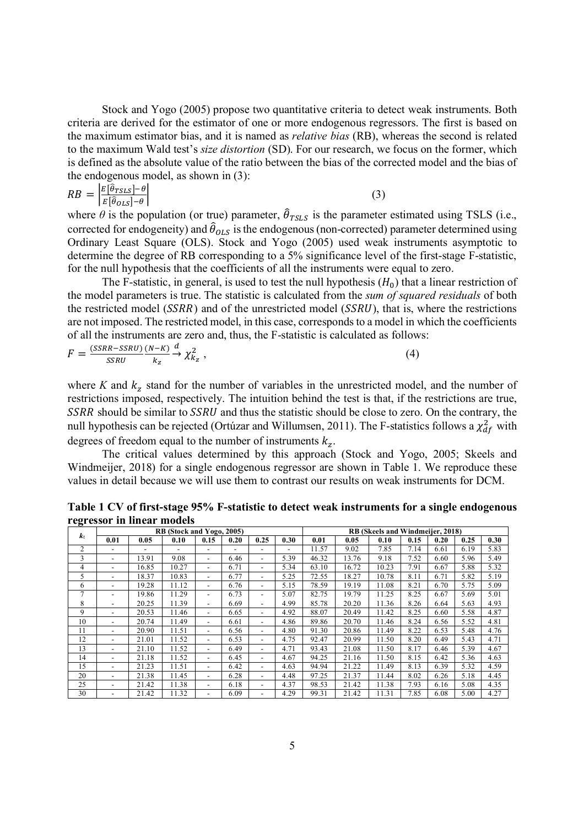Stock and Yogo (2005) propose two quantitative criteria to detect weak instruments. Both criteria are derived for the estimator of one or more endogenous regressors. The first is based on the maximum estimator bias, and it is named as *relative bias* (RB), whereas the second is related to the maximum Wald test's *size distortion* (SD). For our research, we focus on the former, which is defined as the absolute value of the ratio between the bias of the corrected model and the bias of the endogenous model, as shown in (3):

$$
RB = \left| \frac{E[\hat{\theta}_{TSLS}] - \theta}{E[\hat{\theta}_{OLS}] - \theta} \right| \tag{3}
$$

where  $\theta$  is the population (or true) parameter,  $\hat{\theta}_{TSLS}$  is the parameter estimated using TSLS (i.e., corrected for endogeneity) and  $\hat{\theta}_{OLS}$  is the endogenous (non-corrected) parameter determined using Ordinary Least Square (OLS). Stock and Yogo (2005) used weak instruments asymptotic to determine the degree of RB corresponding to a 5% significance level of the first-stage F-statistic, for the null hypothesis that the coefficients of all the instruments were equal to zero.

The F-statistic, in general, is used to test the null hypothesis  $(H_0)$  that a linear restriction of the model parameters is true. The statistic is calculated from the *sum of squared residuals* of both the restricted model  $(SSRR)$  and of the unrestricted model  $(SSRU)$ , that is, where the restrictions are not imposed. The restricted model, in this case, corresponds to a model in which the coefficients of all the instruments are zero and, thus, the F-statistic is calculated as follows:

$$
F = \frac{(SSRR - SSRU)}{SSRU} \xrightarrow{(N-K)} \frac{d}{k_z} \chi^2_{k_z} \,, \tag{4}
$$

where  $K$  and  $k_z$  stand for the number of variables in the unrestricted model, and the number of restrictions imposed, respectively. The intuition behind the test is that, if the restrictions are true, SSRR should be similar to SSRU and thus the statistic should be close to zero. On the contrary, the null hypothesis can be rejected (Ortúzar and Willumsen, 2011). The F-statistics follows a  $\chi^2_{df}$  with degrees of freedom equal to the number of instruments  $k_z$ .

The critical values determined by this approach (Stock and Yogo, 2005; Skeels and Windmeijer, 2018) for a single endogenous regressor are shown in Table 1. We reproduce these values in detail because we will use them to contrast our results on weak instruments for DCM.

| $\tilde{}$<br>$k_z$ | RB (Stock and Yogo, 2005) |       |       |                          |      |                          |      | RB (Skeels and Windmeijer, 2018) |       |       |      |      |      |      |  |  |
|---------------------|---------------------------|-------|-------|--------------------------|------|--------------------------|------|----------------------------------|-------|-------|------|------|------|------|--|--|
|                     | 0.01                      | 0.05  | 0.10  | 0.15                     | 0.20 | 0.25                     | 0.30 | 0.01                             | 0.05  | 0.10  | 0.15 | 0.20 | 0.25 | 0.30 |  |  |
| $\overline{c}$      |                           |       |       |                          |      |                          | ۰    | 11.57                            | 9.02  | 7.85  | 7.14 | 6.61 | 6.19 | 5.83 |  |  |
| 3                   |                           | 13.91 | 9.08  | $\overline{\phantom{a}}$ | 6.46 | $\blacksquare$           | 5.39 | 46.32                            | 13.76 | 9.18  | 7.52 | 6.60 | 5.96 | 5.49 |  |  |
| 4                   |                           | 16.85 | 10.27 | $\overline{\phantom{a}}$ | 6.71 | $\overline{\phantom{0}}$ | 5.34 | 63.10                            | 16.72 | 10.23 | 7.91 | 6.67 | 5.88 | 5.32 |  |  |
| 5                   |                           | 18.37 | 10.83 | $\overline{\phantom{a}}$ | 6.77 | $\overline{\phantom{0}}$ | 5.25 | 72.55                            | 18.27 | 10.78 | 8.11 | 6.71 | 5.82 | 5.19 |  |  |
| 6                   |                           | 19.28 | 11.12 | $\overline{\phantom{a}}$ | 6.76 | $\overline{\phantom{0}}$ | 5.15 | 78.59                            | 19.19 | 11.08 | 8.21 | 6.70 | 5.75 | 5.09 |  |  |
| 7                   |                           | 19.86 | 11.29 | -                        | 6.73 | $\overline{\phantom{a}}$ | 5.07 | 82.75                            | 19.79 | 11.25 | 8.25 | 6.67 | 5.69 | 5.01 |  |  |
| 8                   | -                         | 20.25 | 11.39 | $\overline{\phantom{a}}$ | 6.69 | $\overline{\phantom{0}}$ | 4.99 | 85.78                            | 20.20 | 11.36 | 8.26 | 6.64 | 5.63 | 4.93 |  |  |
| 9                   |                           | 20.53 | 11.46 | $\overline{\phantom{a}}$ | 6.65 | $\overline{\phantom{a}}$ | 4.92 | 88.07                            | 20.49 | 11.42 | 8.25 | 6.60 | 5.58 | 4.87 |  |  |
| 10                  |                           | 20.74 | 11.49 | $\overline{\phantom{a}}$ | 6.61 | $\overline{\phantom{a}}$ | 4.86 | 89.86                            | 20.70 | 11.46 | 8.24 | 6.56 | 5.52 | 4.81 |  |  |
| 11                  |                           | 20.90 | 11.51 | $\overline{\phantom{a}}$ | 6.56 | $\overline{\phantom{a}}$ | 4.80 | 91.30                            | 20.86 | 11.49 | 8.22 | 6.53 | 5.48 | 4.76 |  |  |
| 12                  |                           | 21.01 | 11.52 | $\overline{\phantom{a}}$ | 6.53 | $\overline{\phantom{a}}$ | 4.75 | 92.47                            | 20.99 | 11.50 | 8.20 | 6.49 | 5.43 | 4.71 |  |  |
| 13                  |                           | 21.10 | 11.52 | -                        | 6.49 | $\overline{a}$           | 4.71 | 93.43                            | 21.08 | 11.50 | 8.17 | 6.46 | 5.39 | 4.67 |  |  |
| 14                  |                           | 21.18 | 11.52 | ۰.                       | 6.45 | $\overline{\phantom{0}}$ | 4.67 | 94.25                            | 21.16 | 11.50 | 8.15 | 6.42 | 5.36 | 4.63 |  |  |
| 15                  |                           | 21.23 | 11.51 | -                        | 6.42 | $\overline{\phantom{a}}$ | 4.63 | 94.94                            | 21.22 | 11.49 | 8.13 | 6.39 | 5.32 | 4.59 |  |  |
| 20                  |                           | 21.38 | 11.45 | -                        | 6.28 | $\overline{\phantom{a}}$ | 4.48 | 97.25                            | 21.37 | 11.44 | 8.02 | 6.26 | 5.18 | 4.45 |  |  |
| 25                  |                           | 21.42 | 11.38 | $\overline{\phantom{a}}$ | 6.18 | $\overline{\phantom{a}}$ | 4.37 | 98.53                            | 21.42 | 11.38 | 7.93 | 6.16 | 5.08 | 4.35 |  |  |
| 30                  |                           | 21.42 | 11.32 | -                        | 6.09 |                          | 4.29 | 99.31                            | 21.42 | 11.31 | 7.85 | 6.08 | 5.00 | 4.27 |  |  |

**Table 1 CV of first-stage 95% F-statistic to detect weak instruments for a single endogenous regressor in linear models**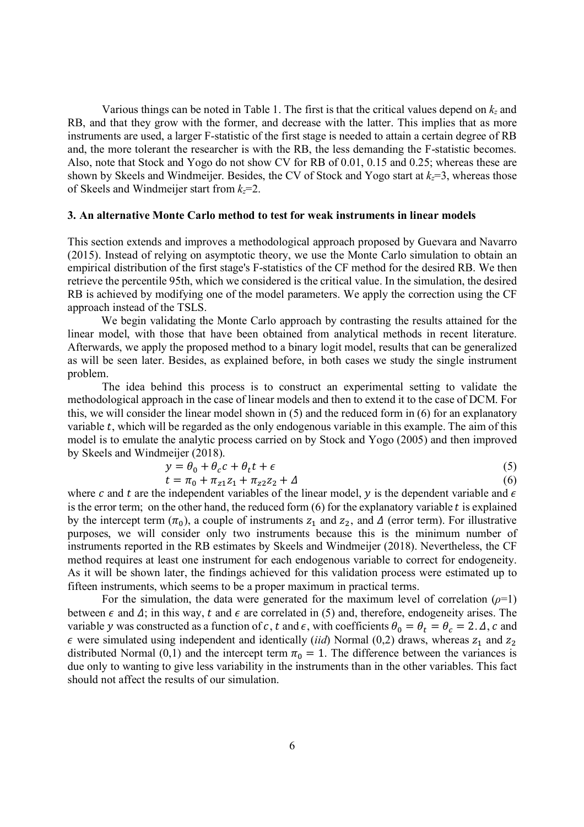Various things can be noted in Table 1. The first is that the critical values depend on *kz* and RB, and that they grow with the former, and decrease with the latter. This implies that as more instruments are used, a larger F-statistic of the first stage is needed to attain a certain degree of RB and, the more tolerant the researcher is with the RB, the less demanding the F-statistic becomes. Also, note that Stock and Yogo do not show CV for RB of 0.01, 0.15 and 0.25; whereas these are shown by Skeels and Windmeijer. Besides, the CV of Stock and Yogo start at  $k<sub>z</sub>=3$ , whereas those of Skeels and Windmeijer start from *kz*=2.

#### **3. An alternative Monte Carlo method to test for weak instruments in linear models**

This section extends and improves a methodological approach proposed by Guevara and Navarro (2015). Instead of relying on asymptotic theory, we use the Monte Carlo simulation to obtain an empirical distribution of the first stage's F-statistics of the CF method for the desired RB. We then retrieve the percentile 95th, which we considered is the critical value. In the simulation, the desired RB is achieved by modifying one of the model parameters. We apply the correction using the CF approach instead of the TSLS.

We begin validating the Monte Carlo approach by contrasting the results attained for the linear model, with those that have been obtained from analytical methods in recent literature. Afterwards, we apply the proposed method to a binary logit model, results that can be generalized as will be seen later. Besides, as explained before, in both cases we study the single instrument problem.

The idea behind this process is to construct an experimental setting to validate the methodological approach in the case of linear models and then to extend it to the case of DCM. For this, we will consider the linear model shown in (5) and the reduced form in (6) for an explanatory variable  $t$ , which will be regarded as the only endogenous variable in this example. The aim of this model is to emulate the analytic process carried on by Stock and Yogo (2005) and then improved by Skeels and Windmeijer (2018).

$$
y = \theta_0 + \theta_c c + \theta_t t + \epsilon \tag{5}
$$

 $t = \pi_0 + \pi_{z1}z_1 + \pi_{z2}z_2 + \Delta$  (6) where c and t are the independent variables of the linear model, y is the dependent variable and  $\epsilon$ is the error term; on the other hand, the reduced form  $(6)$  for the explanatory variable t is explained by the intercept term  $(\pi_0)$ , a couple of instruments  $z_1$  and  $z_2$ , and  $\Delta$  (error term). For illustrative purposes, we will consider only two instruments because this is the minimum number of instruments reported in the RB estimates by Skeels and Windmeijer (2018). Nevertheless, the CF method requires at least one instrument for each endogenous variable to correct for endogeneity. As it will be shown later, the findings achieved for this validation process were estimated up to fifteen instruments, which seems to be a proper maximum in practical terms.

For the simulation, the data were generated for the maximum level of correlation  $(\rho=1)$ between  $\epsilon$  and  $\Delta$ ; in this way, t and  $\epsilon$  are correlated in (5) and, therefore, endogeneity arises. The variable y was constructed as a function of c, t and  $\epsilon$ , with coefficients  $\theta_0 = \theta_t = \theta_c = 2$ .  $\Delta$ , c and  $\epsilon$  were simulated using independent and identically (*iid*) Normal (0,2) draws, whereas  $z_1$  and  $z_2$ distributed Normal (0,1) and the intercept term  $\pi_0 = 1$ . The difference between the variances is due only to wanting to give less variability in the instruments than in the other variables. This fact should not affect the results of our simulation.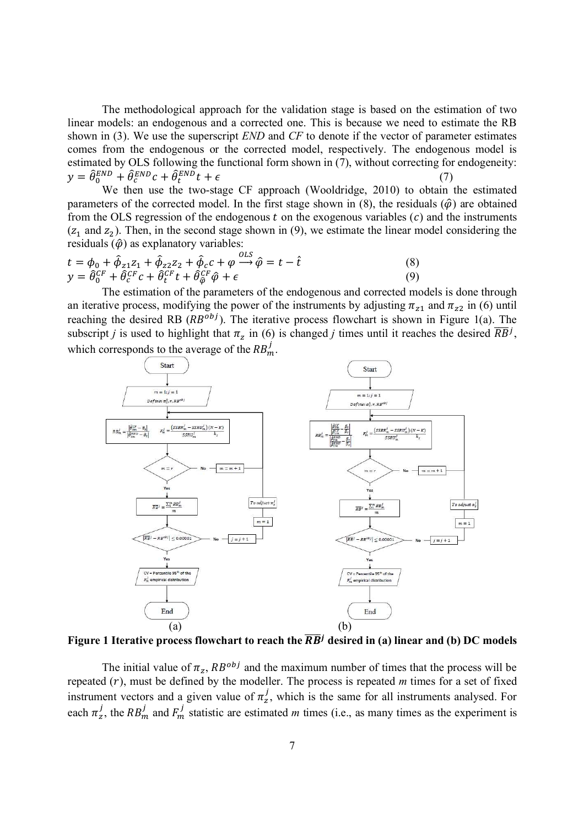The methodological approach for the validation stage is based on the estimation of two linear models: an endogenous and a corrected one. This is because we need to estimate the RB shown in (3). We use the superscript *END* and *CF* to denote if the vector of parameter estimates comes from the endogenous or the corrected model, respectively. The endogenous model is estimated by OLS following the functional form shown in (7), without correcting for endogeneity:  $y = \hat{\theta}_0^{END} + \hat{\theta}_c^{END}c + \hat{\theta}_t^{MD}$  $_{t}^{END}t + \epsilon$  (7)

We then use the two-stage CF approach (Wooldridge, 2010) to obtain the estimated parameters of the corrected model. In the first stage shown in  $(8)$ , the residuals  $(\hat{\phi})$  are obtained from the OLS regression of the endogenous  $t$  on the exogenous variables  $(c)$  and the instruments  $(z_1$  and  $z_2$ ). Then, in the second stage shown in (9), we estimate the linear model considering the residuals  $(\hat{\varphi})$  as explanatory variables:

$$
t = \phi_0 + \hat{\phi}_{z1} z_1 + \hat{\phi}_{z2} z_2 + \hat{\phi}_c c + \varphi \xrightarrow{OLS} \hat{\varphi} = t - \hat{t}
$$
  
\n
$$
y = \hat{\theta}_0^{CF} + \hat{\theta}_c^{CF} c + \hat{\theta}_t^{CF} t + \hat{\theta}_{\hat{\varphi}}^{CF} \hat{\varphi} + \epsilon
$$
\n(8)

The estimation of the parameters of the endogenous and corrected models is done through an iterative process, modifying the power of the instruments by adjusting  $\pi_{z1}$  and  $\pi_{z2}$  in (6) until reaching the desired RB  $(RB^{obj})$ . The iterative process flowchart is shown in Figure 1(a). The subscript *j* is used to highlight that  $\pi_z$  in (6) is changed *j* times until it reaches the desired  $\overline{RB}^j$ , which corresponds to the average of the  $RB_m^j$ .



Figure 1 Iterative process flowchart to reach the  $\overline{RB}^j$  desired in (a) linear and (b) DC models

The initial value of  $\pi_z$ ,  $RB^{obj}$  and the maximum number of times that the process will be repeated  $(r)$ , must be defined by the modeller. The process is repeated  $m$  times for a set of fixed instrument vectors and a given value of  $\pi^j_z$ , which is the same for all instruments analysed. For each  $\pi^j_z$ , the RB<sup>j</sup><sub>m</sub> and  $F^j_m$  statistic are estimated *m* times (i.e., as many times as the experiment is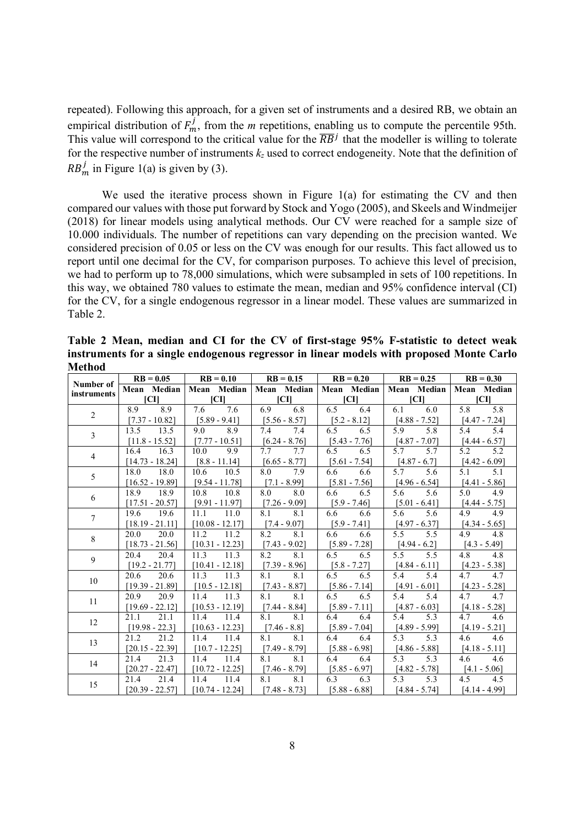repeated). Following this approach, for a given set of instruments and a desired RB, we obtain an empirical distribution of  $F_m^j$ , from the *m* repetitions, enabling us to compute the percentile 95th. This value will correspond to the critical value for the  $\overline{RB}^j$  that the modeller is willing to tolerate for the respective number of instruments *kz* used to correct endogeneity. Note that the definition of  $RB_m^j$  in Figure 1(a) is given by (3).

We used the iterative process shown in Figure  $1(a)$  for estimating the CV and then compared our values with those put forward by Stock and Yogo (2005), and Skeels and Windmeijer (2018) for linear models using analytical methods. Our CV were reached for a sample size of 10.000 individuals. The number of repetitions can vary depending on the precision wanted. We considered precision of 0.05 or less on the CV was enough for our results. This fact allowed us to report until one decimal for the CV, for comparison purposes. To achieve this level of precision, we had to perform up to 78,000 simulations, which were subsampled in sets of 100 repetitions. In this way, we obtained 780 values to estimate the mean, median and 95% confidence interval (CI) for the CV, for a single endogenous regressor in a linear model. These values are summarized in Table 2.

|                          | $RB = 0.05$       | $RB = 0.10$                                                                       | $RB = 0.15$     | $RB = 0.20$     | $RB = 0.25$     | $RB = 0.30$     |  |  |
|--------------------------|-------------------|-----------------------------------------------------------------------------------|-----------------|-----------------|-----------------|-----------------|--|--|
| Number of<br>instruments |                   | Mean Median   Mean Median   Mean Median   Mean Median   Mean Median   Mean Median |                 |                 |                 |                 |  |  |
|                          | [CI]              | <b>ICII</b>                                                                       | [CI]            | CI              | [CI]            | ICII            |  |  |
| $\overline{2}$           | 8.9<br>8.9        | 7.6<br>7.6                                                                        | 6.9<br>6.8      | 6.5<br>6.4      | 6.1<br>6.0      | 5.8<br>5.8      |  |  |
|                          | $[7.37 - 10.82]$  | $[5.89 - 9.41]$                                                                   | $[5.56 - 8.57]$ | $[5.2 - 8.12]$  | $[4.88 - 7.52]$ | $[4.47 - 7.24]$ |  |  |
| $\overline{3}$           | 13.5<br>13.5      | 8.9<br>9.0                                                                        | 7.4<br>7.4      | 6.5<br>6.5      | 5.8<br>5.9      | 5.4<br>5.4      |  |  |
|                          | $[11.8 - 15.52]$  | $[7.77 - 10.51]$                                                                  | $[6.24 - 8.76]$ | $[5.43 - 7.76]$ | $[4.87 - 7.07]$ | $[4.44 - 6.57]$ |  |  |
| $\overline{4}$           | 16.4<br>16.3      | 10.0<br>9.9                                                                       | 7.7<br>7.7      | 6.5<br>6.5      | 5.7<br>5.7      | 5.2<br>5.2      |  |  |
|                          | $[14.73 - 18.24]$ | $[8.8 - 11.14]$                                                                   | $[6.65 - 8.77]$ | $[5.61 - 7.54]$ | $[4.87 - 6.7]$  | [4.42 - 6.09]   |  |  |
| 5                        | 18.0<br>18.0      | 10.5<br>10.6                                                                      | 8.0<br>7.9      | 6.6<br>6.6      | 5.7<br>5.6      | 5.1<br>5.1      |  |  |
|                          | $[16.52 - 19.89]$ | $[9.54 - 11.78]$                                                                  | $[7.1 - 8.99]$  | $[5.81 - 7.56]$ | $[4.96 - 6.54]$ | $[4.41 - 5.86]$ |  |  |
| 6                        | 18.9<br>18.9      | 10.8 10.8                                                                         | 8.0 8.0         | 6.6<br>6.5      | 5.6<br>5.6      | 4.9<br>5.0      |  |  |
|                          | $[17.51 - 20.57]$ | $[9.91 - 11.97]$                                                                  | $[7.26 - 9.09]$ | $[5.9 - 7.46]$  | $[5.01 - 6.41]$ | $[4.44 - 5.75]$ |  |  |
| $\tau$                   | 19.6<br>19.6      | $11.1$ $11.0$                                                                     | 8.1<br>8.1      | 6.6<br>6.6      | 5.6<br>5.6      | 4.9<br>4.9      |  |  |
|                          | $[18.19 - 21.11]$ | $[10.08 - 12.17]$                                                                 | $[7.4 - 9.07]$  | $[5.9 - 7.41]$  | $[4.97 - 6.37]$ | $[4.34 - 5.65]$ |  |  |
| 8                        | 20.0<br>20.0      | 11.2<br>11.2                                                                      | 8.1<br>8.2      | 6.6<br>6.6      | 5.5<br>5.5      | 4.8<br>4.9      |  |  |
|                          | $[18.73 - 21.56]$ | $[10.31 - 12.23]$                                                                 | $[7.43 - 9.02]$ | $[5.89 - 7.28]$ | $[4.94 - 6.2]$  | $[4.3 - 5.49]$  |  |  |
| 9                        | 20.4<br>20.4      | 11.3<br>11.3                                                                      | 8.1<br>8.2      | 6.5<br>6.5      | 5.5<br>5.5      | 4.8<br>4.8      |  |  |
|                          | $[19.2 - 21.77]$  | $[10.41 - 12.18]$                                                                 | $[7.39 - 8.96]$ | $[5.8 - 7.27]$  | $[4.84 - 6.11]$ | $[4.23 - 5.38]$ |  |  |
| 10                       | 20.6<br>20.6      | 11.3<br>11.3                                                                      | 8.1<br>8.1      | 6.5<br>6.5      | 5.4<br>5.4      | 4.7<br>4.7      |  |  |
|                          | $[19.39 - 21.89]$ | $[10.5 - 12.18]$                                                                  | $[7.43 - 8.87]$ | $[5.86 - 7.14]$ | $[4.91 - 6.01]$ | $[4.23 - 5.28]$ |  |  |
|                          | 20.9<br>20.9      | $11.4$ 11.3                                                                       | 8.1 8.1         | 6.5<br>6.5      | 5.4<br>5.4      | 4.7 4.7         |  |  |
| 11                       | $[19.69 - 22.12]$ | $[10.53 - 12.19]$                                                                 | $[7.44 - 8.84]$ | $[5.89 - 7.11]$ | $[4.87 - 6.03]$ | $[4.18 - 5.28]$ |  |  |
| 12                       | 21.1<br>21.1      | 11.4<br>11.4                                                                      | 8.1<br>8.1      | 6.4<br>6.4      | 5.4<br>5.3      | 4.7<br>4.6      |  |  |
|                          | $[19.98 - 22.3]$  | $[10.63 - 12.23]$                                                                 | $[7.46 - 8.8]$  | $[5.89 - 7.04]$ | $[4.89 - 5.99]$ | $[4.19 - 5.21]$ |  |  |
| 13                       | 21.2<br>21.2      | 11.4 11.4                                                                         | 8.1<br>8.1      | 6.4<br>6.4      | 5.3<br>5.3      | 4.6<br>4.6      |  |  |
|                          | $[20.15 - 22.39]$ | $[10.7 - 12.25]$                                                                  | $[7.49 - 8.79]$ | $[5.88 - 6.98]$ | $[4.86 - 5.88]$ | $[4.18 - 5.11]$ |  |  |
| 14                       | 21.4<br>21.3      | 11.4<br>11.4                                                                      | 8.1<br>8.1      | 6.4<br>6.4      | 5.3<br>5.3      | 4.6<br>4.6      |  |  |
|                          | $[20.27 - 22.47]$ | $[10.72 - 12.25]$                                                                 | $[7.46 - 8.79]$ | $[5.85 - 6.97]$ | $[4.82 - 5.78]$ | $[4.1 - 5.06]$  |  |  |
|                          | 21.4<br>21.4      | 11.4<br>11.4                                                                      | 8.1<br>8.1      | 6.3<br>6.3      | 5.3<br>5.3      | 4.5<br>4.5      |  |  |
| 15                       | $[20.39 - 22.57]$ | $[10.74 - 12.24]$                                                                 | $[7.48 - 8.73]$ | $[5.88 - 6.88]$ | $[4.84 - 5.74]$ | $[4.14 - 4.99]$ |  |  |

**Table 2 Mean, median and CI for the CV of first-stage 95% F-statistic to detect weak instruments for a single endogenous regressor in linear models with proposed Monte Carlo Method**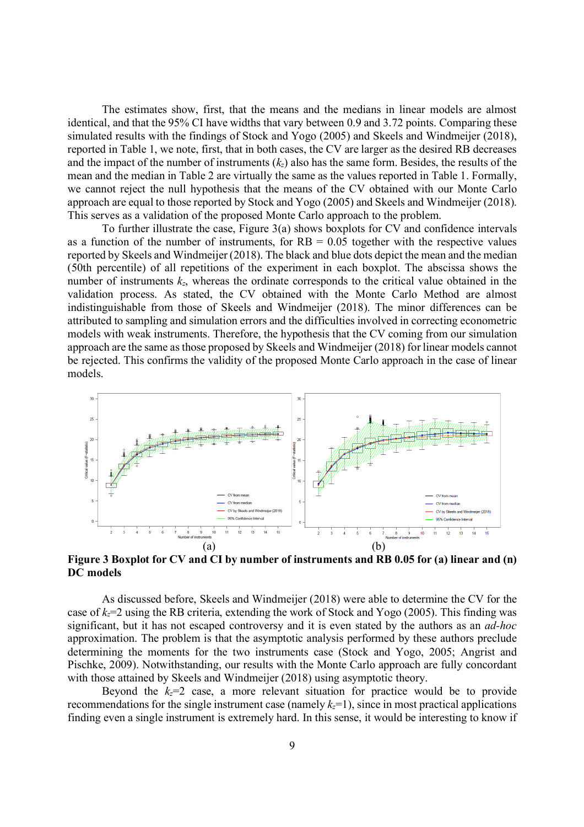The estimates show, first, that the means and the medians in linear models are almost identical, and that the 95% CI have widths that vary between 0.9 and 3.72 points. Comparing these simulated results with the findings of Stock and Yogo (2005) and Skeels and Windmeijer (2018), reported in Table 1, we note, first, that in both cases, the CV are larger as the desired RB decreases and the impact of the number of instruments (*kz*) also has the same form. Besides, the results of the mean and the median in Table 2 are virtually the same as the values reported in Table 1. Formally, we cannot reject the null hypothesis that the means of the CV obtained with our Monte Carlo approach are equal to those reported by Stock and Yogo (2005) and Skeels and Windmeijer (2018). This serves as a validation of the proposed Monte Carlo approach to the problem.

To further illustrate the case, Figure 3(a) shows boxplots for CV and confidence intervals as a function of the number of instruments, for  $RB = 0.05$  together with the respective values reported by Skeels and Windmeijer (2018). The black and blue dots depict the mean and the median (50th percentile) of all repetitions of the experiment in each boxplot. The abscissa shows the number of instruments  $k_z$ , whereas the ordinate corresponds to the critical value obtained in the validation process. As stated, the CV obtained with the Monte Carlo Method are almost indistinguishable from those of Skeels and Windmeijer (2018). The minor differences can be attributed to sampling and simulation errors and the difficulties involved in correcting econometric models with weak instruments. Therefore, the hypothesis that the CV coming from our simulation approach are the same as those proposed by Skeels and Windmeijer (2018) for linear models cannot be rejected. This confirms the validity of the proposed Monte Carlo approach in the case of linear models.



**Figure 3 Boxplot for CV and CI by number of instruments and RB 0.05 for (a) linear and (n) DC models** 

As discussed before, Skeels and Windmeijer (2018) were able to determine the CV for the case of *kz*=2 using the RB criteria, extending the work of Stock and Yogo (2005). This finding was significant, but it has not escaped controversy and it is even stated by the authors as an *ad-hoc* approximation. The problem is that the asymptotic analysis performed by these authors preclude determining the moments for the two instruments case (Stock and Yogo, 2005; Angrist and Pischke, 2009). Notwithstanding, our results with the Monte Carlo approach are fully concordant with those attained by Skeels and Windmeijer (2018) using asymptotic theory.

Beyond the  $k_z=2$  case, a more relevant situation for practice would be to provide recommendations for the single instrument case (namely  $k_z=1$ ), since in most practical applications finding even a single instrument is extremely hard. In this sense, it would be interesting to know if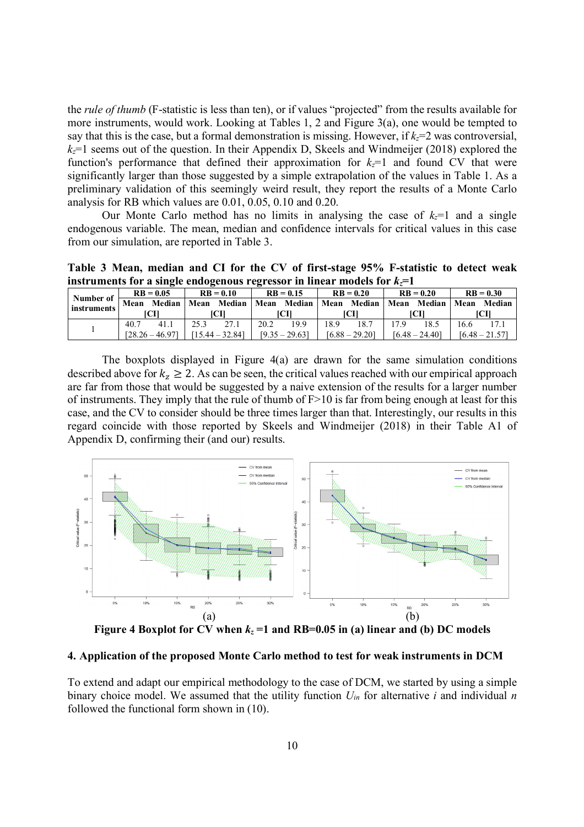the *rule of thumb* (F-statistic is less than ten), or if values "projected" from the results available for more instruments, would work. Looking at Tables 1, 2 and Figure 3(a), one would be tempted to say that this is the case, but a formal demonstration is missing. However, if  $k_z=2$  was controversial,  $k_z$ =1 seems out of the question. In their Appendix D, Skeels and Windmeijer (2018) explored the function's performance that defined their approximation for *kz*=1 and found CV that were significantly larger than those suggested by a simple extrapolation of the values in Table 1. As a preliminary validation of this seemingly weird result, they report the results of a Monte Carlo analysis for RB which values are 0.01, 0.05, 0.10 and 0.20.

Our Monte Carlo method has no limits in analysing the case of  $k<sub>z</sub>=1$  and a single endogenous variable. The mean, median and confidence intervals for critical values in this case from our simulation, are reported in Table 3.

**Table 3 Mean, median and CI for the CV of first-stage 95% F-statistic to detect weak instruments for a single endogenous regressor in linear models for**  $k_z = 1$ 

| Number of<br>instruments | $RB = 0.05$ |                   | $RB = 0.10$       |  | $RB = 0.15$      |                                                  | $RB = 0.20$      |      | $RB = 0.20$      |             | $RB = 0.30$      |        |
|--------------------------|-------------|-------------------|-------------------|--|------------------|--------------------------------------------------|------------------|------|------------------|-------------|------------------|--------|
|                          | Mean        |                   |                   |  |                  | Median   Mean Median   Mean Median   Mean Median |                  |      |                  | Mean Median | Mean             | Median |
|                          | ICII        |                   | ſСП               |  | TCH              |                                                  | TCH              |      | ICH              |             | CП               |        |
|                          | 40.7        | 41.1              | 25.3              |  | 20.2             | 19.9                                             | 18.9             | 18.7 |                  | 18.5        | 16.6             |        |
|                          |             | $[28.26 - 46.97]$ | $[15.44 - 32.84]$ |  | $[9.35 - 29.63]$ |                                                  | $[6.88 - 29.20]$ |      | $[6.48 - 24.40]$ |             | $[6.48 - 21.57]$ |        |

The boxplots displayed in Figure  $4(a)$  are drawn for the same simulation conditions described above for  $k_z \ge 2$ . As can be seen, the critical values reached with our empirical approach are far from those that would be suggested by a naive extension of the results for a larger number of instruments. They imply that the rule of thumb of  $F>10$  is far from being enough at least for this case, and the CV to consider should be three times larger than that. Interestingly, our results in this regard coincide with those reported by Skeels and Windmeijer (2018) in their Table A1 of Appendix D, confirming their (and our) results.



**Figure 4 Boxplot for CV when**  $k_z = 1$  **and RB=0.05 in (a) linear and (b) DC models** 

### **4. Application of the proposed Monte Carlo method to test for weak instruments in DCM**

To extend and adapt our empirical methodology to the case of DCM, we started by using a simple binary choice model. We assumed that the utility function *Uin* for alternative *i* and individual *n* followed the functional form shown in (10).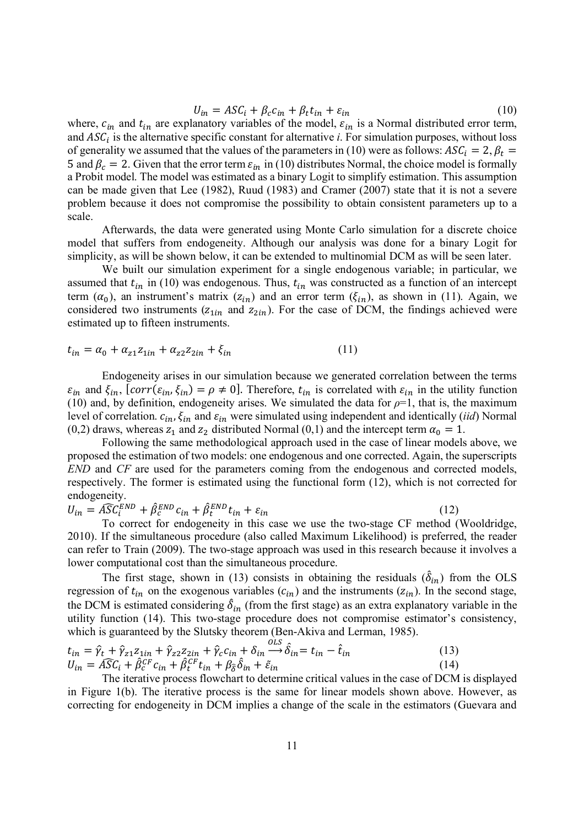$$
U_{in} = ASC_{i} + \beta_{c}c_{in} + \beta_{t}t_{in} + \varepsilon_{in}
$$
\n
$$
(10)
$$

where,  $c_{in}$  and  $t_{in}$  are explanatory variables of the model,  $\varepsilon_{in}$  is a Normal distributed error term, and  $ASC<sub>i</sub>$  is the alternative specific constant for alternative *i*. For simulation purposes, without loss of generality we assumed that the values of the parameters in (10) were as follows:  $ASC_i = 2$ ,  $\beta_t =$ 5 and  $\beta_c = 2$ . Given that the error term  $\varepsilon_{in}$  in (10) distributes Normal, the choice model is formally a Probit model. The model was estimated as a binary Logit to simplify estimation. This assumption can be made given that Lee (1982), Ruud (1983) and Cramer (2007) state that it is not a severe problem because it does not compromise the possibility to obtain consistent parameters up to a scale.

Afterwards, the data were generated using Monte Carlo simulation for a discrete choice model that suffers from endogeneity. Although our analysis was done for a binary Logit for simplicity, as will be shown below, it can be extended to multinomial DCM as will be seen later.

We built our simulation experiment for a single endogenous variable; in particular, we assumed that  $t_{in}$  in (10) was endogenous. Thus,  $t_{in}$  was constructed as a function of an intercept term  $(\alpha_0)$ , an instrument's matrix  $(z_{in})$  and an error term  $(\xi_{in})$ , as shown in (11). Again, we considered two instruments  $(z_{1in}$  and  $z_{2in}$ ). For the case of DCM, the findings achieved were estimated up to fifteen instruments.

$$
t_{in} = \alpha_0 + \alpha_{z1} z_{1in} + \alpha_{z2} z_{2in} + \xi_{in}
$$
 (11)

Endogeneity arises in our simulation because we generated correlation between the terms  $\varepsilon_{in}$  and  $\xi_{in}$ ,  $[corr(\varepsilon_{in}, \xi_{in}) = \rho \neq 0]$ . Therefore,  $t_{in}$  is correlated with  $\varepsilon_{in}$  in the utility function (10) and, by definition, endogeneity arises. We simulated the data for  $\rho=1$ , that is, the maximum level of correlation.  $c_{in}$ ,  $\xi_{in}$  and  $\varepsilon_{in}$  were simulated using independent and identically (*iid*) Normal (0,2) draws, whereas  $z_1$  and  $z_2$  distributed Normal (0,1) and the intercept term  $\alpha_0 = 1$ .

Following the same methodological approach used in the case of linear models above, we proposed the estimation of two models: one endogenous and one corrected. Again, the superscripts *END* and *CF* are used for the parameters coming from the endogenous and corrected models, respectively. The former is estimated using the functional form (12), which is not corrected for endogeneity.

$$
U_{in} = \widehat{ASC}_i^{END} + \widehat{\beta}_c^{END} c_{in} + \widehat{\beta}_t^{END} t_{in} + \varepsilon_{in}
$$
\n(12)

To correct for endogeneity in this case we use the two-stage CF method (Wooldridge, 2010). If the simultaneous procedure (also called Maximum Likelihood) is preferred, the reader can refer to Train (2009). The two-stage approach was used in this research because it involves a lower computational cost than the simultaneous procedure.

The first stage, shown in (13) consists in obtaining the residuals  $(\hat{\delta}_{in})$  from the OLS regression of  $t_{in}$  on the exogenous variables ( $c_{in}$ ) and the instruments ( $z_{in}$ ). In the second stage, the DCM is estimated considering  $\hat{\delta}_{in}$  (from the first stage) as an extra explanatory variable in the utility function (14). This two-stage procedure does not compromise estimator's consistency, which is guaranteed by the Slutsky theorem (Ben-Akiva and Lerman, 1985).

$$
t_{in} = \hat{\gamma}_t + \hat{\gamma}_{z1} z_{1in} + \hat{\gamma}_{z2} z_{2in} + \hat{\gamma}_c c_{in} + \delta_{in} \xrightarrow{OLS} \hat{\delta}_{in} = t_{in} - \hat{t}_{in}
$$
  
\n
$$
U_{in} = \widehat{ASC}_i + \widehat{\beta}_c^{CF} c_{in} + \widehat{\beta}_t^{CF} t_{in} + \beta_{\delta} \hat{\delta}_{in} + \tilde{\varepsilon}_{in}
$$
\n(14)

The iterative process flowchart to determine critical values in the case of DCM is displayed in Figure 1(b). The iterative process is the same for linear models shown above. However, as correcting for endogeneity in DCM implies a change of the scale in the estimators (Guevara and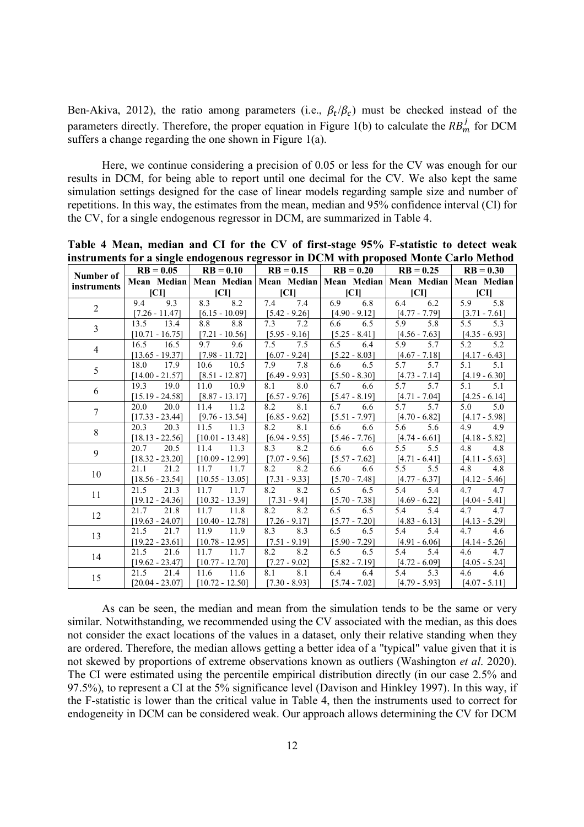Ben-Akiva, 2012), the ratio among parameters (i.e.,  $\beta_t/\beta_c$ ) must be checked instead of the parameters directly. Therefore, the proper equation in Figure 1(b) to calculate the  $RB_m^j$  for DCM suffers a change regarding the one shown in Figure 1(a).

Here, we continue considering a precision of 0.05 or less for the CV was enough for our results in DCM, for being able to report until one decimal for the CV. We also kept the same simulation settings designed for the case of linear models regarding sample size and number of repetitions. In this way, the estimates from the mean, median and 95% confidence interval (CI) for the CV, for a single endogenous regressor in DCM, are summarized in Table 4.

| нізи анісніз тог а зніўк снабуснова гедгеазог ні БСМ міні ргорозса мібніс Сагіб Менба |                   |                   |                 |                                                                                   |                 |                 |  |  |  |  |  |
|---------------------------------------------------------------------------------------|-------------------|-------------------|-----------------|-----------------------------------------------------------------------------------|-----------------|-----------------|--|--|--|--|--|
| Number of                                                                             | $RB = 0.05$       | $RB = 0.10$       | $RB = 0.15$     | $RB = 0.20$                                                                       | $RB = 0.25$     | $RB = 0.30$     |  |  |  |  |  |
| instruments                                                                           |                   |                   |                 | Mean Median   Mean Median   Mean Median   Mean Median   Mean Median   Mean Median |                 |                 |  |  |  |  |  |
|                                                                                       | <b>ICII</b>       | CI                | CI              | CI                                                                                | CI              | <b>ICII</b>     |  |  |  |  |  |
| $\overline{2}$                                                                        | 9.3<br>9.4        | 8.3<br>8.2        | 7.4<br>7.4      | 6.8<br>6.9                                                                        | 6.4<br>6.2      | 5.8<br>5.9      |  |  |  |  |  |
|                                                                                       | $[7.26 - 11.47]$  | $[6.15 - 10.09]$  | $[5.42 - 9.26]$ | $[4.90 - 9.12]$                                                                   | $[4.77 - 7.79]$ | $[3.71 - 7.61]$ |  |  |  |  |  |
| $\overline{3}$                                                                        | 13.5<br>13.4      | 8.8<br>8.8        | 7.3<br>7.2      | 6.6<br>6.5                                                                        | 5.9<br>5.8      | 5.3<br>5.5      |  |  |  |  |  |
|                                                                                       | $[10.71 - 16.75]$ | $[7.21 - 10.56]$  | $[5.95 - 9.16]$ | $[5.25 - 8.41]$                                                                   | $[4.56 - 7.63]$ | $[4.35 - 6.93]$ |  |  |  |  |  |
| $\overline{4}$                                                                        | 16.5<br>16.5      | 9.7<br>9.6        | 7.5<br>7.5      | 6.5<br>6.4                                                                        | 5.7<br>5.9      | 5.2<br>5.2      |  |  |  |  |  |
|                                                                                       | $[13.65 - 19.37]$ | $[7.98 - 11.72]$  | $[6.07 - 9.24]$ | $[5.22 - 8.03]$                                                                   | $[4.67 - 7.18]$ | $[4.17 - 6.43]$ |  |  |  |  |  |
| 5                                                                                     | 18.0<br>17.9      | 10.6<br>10.5      | 7.8<br>7.9      | 6.5<br>6.6                                                                        | 5.7<br>5.7      | 5.1<br>5.1      |  |  |  |  |  |
|                                                                                       | $[14.00 - 21.57]$ | $[8.51 - 12.87]$  | $[6.49 - 9.93]$ | $[5.50 - 8.30]$                                                                   | $[4.73 - 7.14]$ | $[4.19 - 6.30]$ |  |  |  |  |  |
| 6                                                                                     | 19.3<br>19.0      | 11.0<br>10.9      | 8.1<br>8.0      | 6.7<br>6.6                                                                        | 5.7<br>5.7      | 5.1<br>5.1      |  |  |  |  |  |
|                                                                                       | $[15.19 - 24.58]$ | $[8.87 - 13.17]$  | $[6.57 - 9.76]$ | $[5.47 - 8.19]$                                                                   | $[4.71 - 7.04]$ | $[4.25 - 6.14]$ |  |  |  |  |  |
| $\overline{7}$                                                                        | 20.0<br>20.0      | 11.4<br>11.2      | 8.1<br>8.2      | 6.7<br>6.6                                                                        | 5.7<br>5.7      | 5.0<br>5.0      |  |  |  |  |  |
|                                                                                       | $[17.33 - 23.44]$ | $[9.76 - 13.54]$  | $[6.85 - 9.62]$ | $[5.51 - 7.97]$                                                                   | $[4.70 - 6.82]$ | $[4.17 - 5.98]$ |  |  |  |  |  |
| $8\,$                                                                                 | 20.3<br>20.3      | 11.5<br>11.3      | 8.1<br>8.2      | 6.6<br>6.6                                                                        | 5.6<br>5.6      | 4.9<br>4.9      |  |  |  |  |  |
|                                                                                       | $[18.13 - 22.56]$ | $[10.01 - 13.48]$ | $[6.94 - 9.55]$ | $[5.46 - 7.76]$                                                                   | $[4.74 - 6.61]$ | $[4.18 - 5.82]$ |  |  |  |  |  |
| 9                                                                                     | 20.7<br>20.5      | 11.4<br>11.3      | 8.3<br>8.2      | 6.6<br>6.6                                                                        | 5.5<br>5.5      | 4.8<br>4.8      |  |  |  |  |  |
|                                                                                       | $[18.32 - 23.20]$ | $[10.09 - 12.99]$ | $[7.07 - 9.56]$ | $[5.57 - 7.62]$                                                                   | $[4.71 - 6.41]$ | $[4.11 - 5.63]$ |  |  |  |  |  |
| 10                                                                                    | 21.2<br>21.1      | 11.7<br>11.7      | 8.2<br>8.2      | 6.6<br>6.6                                                                        | 5.5<br>5.5      | 4.8<br>4.8      |  |  |  |  |  |
|                                                                                       | $[18.56 - 23.54]$ | $[10.55 - 13.05]$ | $[7.31 - 9.33]$ | $[5.70 - 7.48]$                                                                   | $[4.77 - 6.37]$ | $[4.12 - 5.46]$ |  |  |  |  |  |
| 11                                                                                    | 21.5<br>21.3      | 11.7<br>11.7      | 8.2<br>8.2      | 6.5<br>6.5                                                                        | 5.4<br>5.4      | 4.7<br>4.7      |  |  |  |  |  |
|                                                                                       | $[19.12 - 24.36]$ | $[10.32 - 13.39]$ | $[7.31 - 9.4]$  | $[5.70 - 7.38]$                                                                   | $[4.69 - 6.22]$ | $[4.04 - 5.41]$ |  |  |  |  |  |
| 12                                                                                    | 21.7<br>21.8      | 11.7<br>11.8      | 8.2<br>8.2      | 6.5<br>6.5                                                                        | 5.4<br>5.4      | 4.7<br>4.7      |  |  |  |  |  |
|                                                                                       | $[19.63 - 24.07]$ | $[10.40 - 12.78]$ | $[7.26 - 9.17]$ | $[5.77 - 7.20]$                                                                   | $[4.83 - 6.13]$ | $[4.13 - 5.29]$ |  |  |  |  |  |
| 13                                                                                    | 21.5<br>21.7      | 11.9<br>11.9      | 8.3<br>8.3      | 6.5<br>6.5                                                                        | 5.4<br>5.4      | 4.7<br>4.6      |  |  |  |  |  |
|                                                                                       | $[19.22 - 23.61]$ | $[10.78 - 12.95]$ | $[7.51 - 9.19]$ | $[5.90 - 7.29]$                                                                   | $[4.91 - 6.06]$ | $[4.14 - 5.26]$ |  |  |  |  |  |
| 14                                                                                    | 21.5<br>21.6      | 11.7<br>11.7      | 8.2<br>8.2      | 6.5<br>6.5                                                                        | 5.4<br>5.4      | 4.7<br>4.6      |  |  |  |  |  |
|                                                                                       | $[19.62 - 23.47]$ | $[10.77 - 12.70]$ | $[7.27 - 9.02]$ | $[5.82 - 7.19]$                                                                   | $[4.72 - 6.09]$ | $[4.05 - 5.24]$ |  |  |  |  |  |
| 15                                                                                    | 21.5<br>21.4      | 11.6<br>11.6      | 8.1<br>8.1      | 6.4<br>6.4                                                                        | 5.3<br>5.4      | 4.6<br>4.6      |  |  |  |  |  |
|                                                                                       | $[20.04 - 23.07]$ | $[10.72 - 12.50]$ | $[7.30 - 8.93]$ | $[5.74 - 7.02]$                                                                   | $[4.79 - 5.93]$ | $[4.07 - 5.11]$ |  |  |  |  |  |

**Table 4 Mean, median and CI for the CV of first-stage 95% F-statistic to detect weak instruments for a single endogenous regressor in DCM with proposed Monte Carlo Method**

As can be seen, the median and mean from the simulation tends to be the same or very similar. Notwithstanding, we recommended using the CV associated with the median, as this does not consider the exact locations of the values in a dataset, only their relative standing when they are ordered. Therefore, the median allows getting a better idea of a "typical" value given that it is not skewed by proportions of extreme observations known as outliers (Washington *et al*. 2020). The CI were estimated using the percentile empirical distribution directly (in our case 2.5% and 97.5%), to represent a CI at the 5% significance level (Davison and Hinkley 1997). In this way, if the F-statistic is lower than the critical value in Table 4, then the instruments used to correct for endogeneity in DCM can be considered weak. Our approach allows determining the CV for DCM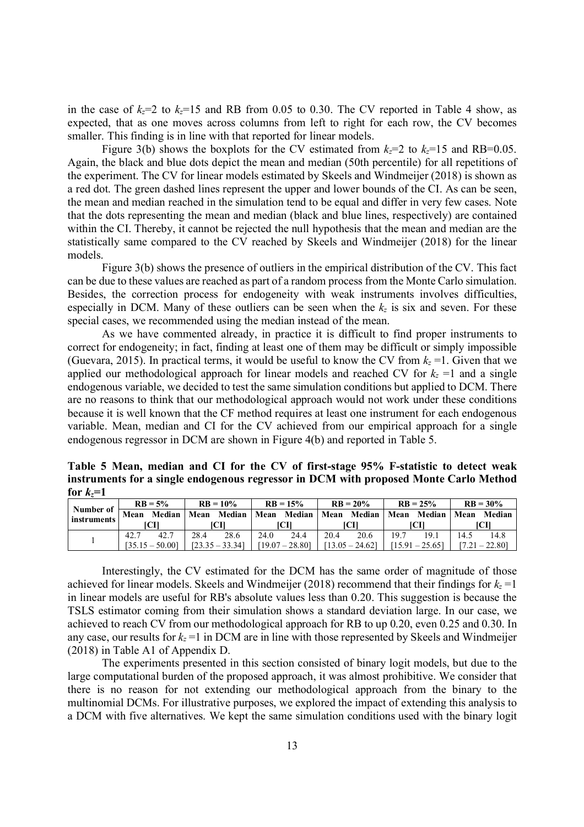in the case of  $k_z=2$  to  $k_z=15$  and RB from 0.05 to 0.30. The CV reported in Table 4 show, as expected, that as one moves across columns from left to right for each row, the CV becomes smaller. This finding is in line with that reported for linear models.

Figure 3(b) shows the boxplots for the CV estimated from  $k_z=2$  to  $k_z=15$  and RB=0.05. Again, the black and blue dots depict the mean and median (50th percentile) for all repetitions of the experiment. The CV for linear models estimated by Skeels and Windmeijer (2018) is shown as a red dot. The green dashed lines represent the upper and lower bounds of the CI. As can be seen, the mean and median reached in the simulation tend to be equal and differ in very few cases. Note that the dots representing the mean and median (black and blue lines, respectively) are contained within the CI. Thereby, it cannot be rejected the null hypothesis that the mean and median are the statistically same compared to the CV reached by Skeels and Windmeijer (2018) for the linear models.

Figure 3(b) shows the presence of outliers in the empirical distribution of the CV. This fact can be due to these values are reached as part of a random process from the Monte Carlo simulation. Besides, the correction process for endogeneity with weak instruments involves difficulties, especially in DCM. Many of these outliers can be seen when the  $k_z$  is six and seven. For these special cases, we recommended using the median instead of the mean.

As we have commented already, in practice it is difficult to find proper instruments to correct for endogeneity; in fact, finding at least one of them may be difficult or simply impossible (Guevara, 2015). In practical terms, it would be useful to know the CV from  $k<sub>z</sub> = 1$ . Given that we applied our methodological approach for linear models and reached CV for  $k_z = 1$  and a single endogenous variable, we decided to test the same simulation conditions but applied to DCM. There are no reasons to think that our methodological approach would not work under these conditions because it is well known that the CF method requires at least one instrument for each endogenous variable. Mean, median and CI for the CV achieved from our empirical approach for a single endogenous regressor in DCM are shown in Figure 4(b) and reported in Table 5.

**Table 5 Mean, median and CI for the CV of first-stage 95% F-statistic to detect weak instruments for a single endogenous regressor in DCM with proposed Monte Carlo Method**  for  $k_z = 1$ 

| Number of<br>instruments | $RB = 5\%$                                                 |      | $RB = 10%$        |      | $RB = 15%$        |      | $RB = 20%$        |      | $RB = 25%$        |             | $RB = 30\%$    |             |
|--------------------------|------------------------------------------------------------|------|-------------------|------|-------------------|------|-------------------|------|-------------------|-------------|----------------|-------------|
|                          | Mean<br>n Median   Mean Median   Mean Median   Mean Median |      |                   |      |                   |      |                   |      |                   | Mean Median |                | Mean Median |
|                          | ICH                                                        |      | ICH               |      | ſСП               |      | 1C11              |      | ICH               |             | ïСII           |             |
|                          | 42.7                                                       | 42.7 | 28.4              | 28.6 | 24.0              | 24.4 | 20.4              | 20.6 | 19.7              | 19.1        | 14.5           | 14.8        |
|                          | $[35.15 - 50.00]$                                          |      | $[23.35 - 33.34]$ |      | $[19.07 - 28.80]$ |      | $[13.05 - 24.62]$ |      | $[15.91 - 25.65]$ |             | 17.21 – 22.801 |             |

Interestingly, the CV estimated for the DCM has the same order of magnitude of those achieved for linear models. Skeels and Windmeijer (2018) recommend that their findings for  $k<sub>z</sub> = 1$ in linear models are useful for RB's absolute values less than 0.20. This suggestion is because the TSLS estimator coming from their simulation shows a standard deviation large. In our case, we achieved to reach CV from our methodological approach for RB to up 0.20, even 0.25 and 0.30. In any case, our results for  $k_z = 1$  in DCM are in line with those represented by Skeels and Windmeijer (2018) in Table A1 of Appendix D.

The experiments presented in this section consisted of binary logit models, but due to the large computational burden of the proposed approach, it was almost prohibitive. We consider that there is no reason for not extending our methodological approach from the binary to the multinomial DCMs. For illustrative purposes, we explored the impact of extending this analysis to a DCM with five alternatives. We kept the same simulation conditions used with the binary logit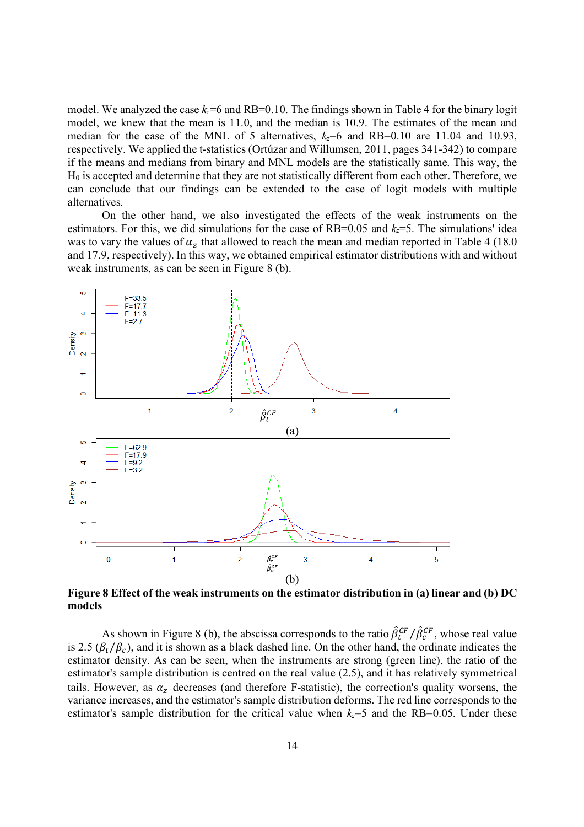model. We analyzed the case  $k<sub>z</sub>=6$  and RB=0.10. The findings shown in Table 4 for the binary logit model, we knew that the mean is 11.0, and the median is 10.9. The estimates of the mean and median for the case of the MNL of 5 alternatives,  $k_z=6$  and RB=0.10 are 11.04 and 10.93, respectively. We applied the t-statistics (Ortúzar and Willumsen, 2011, pages 341-342) to compare if the means and medians from binary and MNL models are the statistically same. This way, the H0 is accepted and determine that they are not statistically different from each other. Therefore, we can conclude that our findings can be extended to the case of logit models with multiple alternatives.

On the other hand, we also investigated the effects of the weak instruments on the estimators. For this, we did simulations for the case of RB=0.05 and  $k_z$ =5. The simulations' idea was to vary the values of  $\alpha_z$  that allowed to reach the mean and median reported in Table 4 (18.0) and 17.9, respectively). In this way, we obtained empirical estimator distributions with and without weak instruments, as can be seen in Figure 8 (b).



**Figure 8 Effect of the weak instruments on the estimator distribution in (a) linear and (b) DC models** 

As shown in Figure 8 (b), the abscissa corresponds to the ratio  $\hat{\beta}_t^{CF} / \hat{\beta}_c^{CF}$ , whose real value is 2.5 ( $\beta_t/\beta_c$ ), and it is shown as a black dashed line. On the other hand, the ordinate indicates the estimator density. As can be seen, when the instruments are strong (green line), the ratio of the estimator's sample distribution is centred on the real value (2.5), and it has relatively symmetrical tails. However, as  $\alpha_z$  decreases (and therefore F-statistic), the correction's quality worsens, the variance increases, and the estimator's sample distribution deforms. The red line corresponds to the estimator's sample distribution for the critical value when  $k_z = 5$  and the RB=0.05. Under these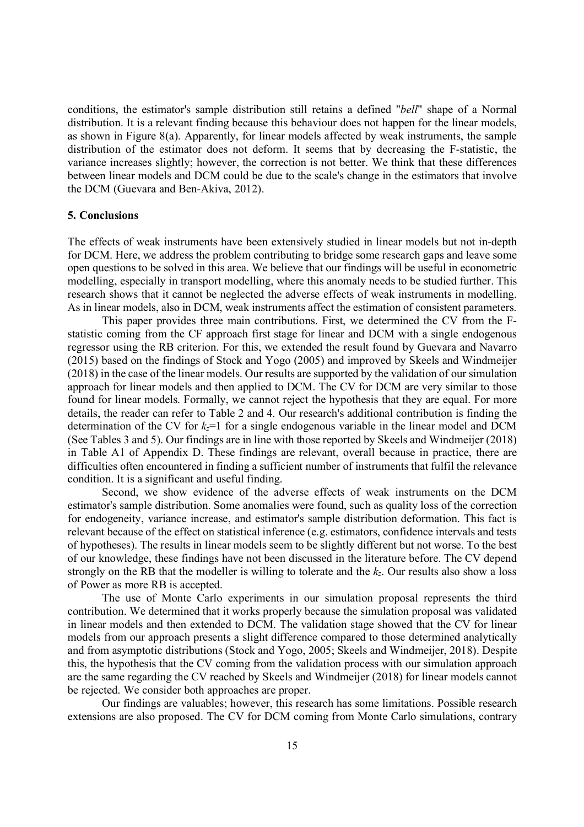conditions, the estimator's sample distribution still retains a defined "*bell*" shape of a Normal distribution. It is a relevant finding because this behaviour does not happen for the linear models, as shown in Figure 8(a). Apparently, for linear models affected by weak instruments, the sample distribution of the estimator does not deform. It seems that by decreasing the F-statistic, the variance increases slightly; however, the correction is not better. We think that these differences between linear models and DCM could be due to the scale's change in the estimators that involve the DCM (Guevara and Ben-Akiva, 2012).

### **5. Conclusions**

The effects of weak instruments have been extensively studied in linear models but not in-depth for DCM. Here, we address the problem contributing to bridge some research gaps and leave some open questions to be solved in this area. We believe that our findings will be useful in econometric modelling, especially in transport modelling, where this anomaly needs to be studied further. This research shows that it cannot be neglected the adverse effects of weak instruments in modelling. As in linear models, also in DCM, weak instruments affect the estimation of consistent parameters.

This paper provides three main contributions. First, we determined the CV from the Fstatistic coming from the CF approach first stage for linear and DCM with a single endogenous regressor using the RB criterion. For this, we extended the result found by Guevara and Navarro (2015) based on the findings of Stock and Yogo (2005) and improved by Skeels and Windmeijer (2018) in the case of the linear models. Our results are supported by the validation of our simulation approach for linear models and then applied to DCM. The CV for DCM are very similar to those found for linear models. Formally, we cannot reject the hypothesis that they are equal. For more details, the reader can refer to Table 2 and 4. Our research's additional contribution is finding the determination of the CV for  $k_z=1$  for a single endogenous variable in the linear model and DCM (See Tables 3 and 5). Our findings are in line with those reported by Skeels and Windmeijer (2018) in Table A1 of Appendix D. These findings are relevant, overall because in practice, there are difficulties often encountered in finding a sufficient number of instruments that fulfil the relevance condition. It is a significant and useful finding.

Second, we show evidence of the adverse effects of weak instruments on the DCM estimator's sample distribution. Some anomalies were found, such as quality loss of the correction for endogeneity, variance increase, and estimator's sample distribution deformation. This fact is relevant because of the effect on statistical inference (e.g. estimators, confidence intervals and tests of hypotheses). The results in linear models seem to be slightly different but not worse. To the best of our knowledge, these findings have not been discussed in the literature before. The CV depend strongly on the RB that the modeller is willing to tolerate and the *kz*. Our results also show a loss of Power as more RB is accepted.

The use of Monte Carlo experiments in our simulation proposal represents the third contribution. We determined that it works properly because the simulation proposal was validated in linear models and then extended to DCM. The validation stage showed that the CV for linear models from our approach presents a slight difference compared to those determined analytically and from asymptotic distributions (Stock and Yogo, 2005; Skeels and Windmeijer, 2018). Despite this, the hypothesis that the CV coming from the validation process with our simulation approach are the same regarding the CV reached by Skeels and Windmeijer (2018) for linear models cannot be rejected. We consider both approaches are proper.

Our findings are valuables; however, this research has some limitations. Possible research extensions are also proposed. The CV for DCM coming from Monte Carlo simulations, contrary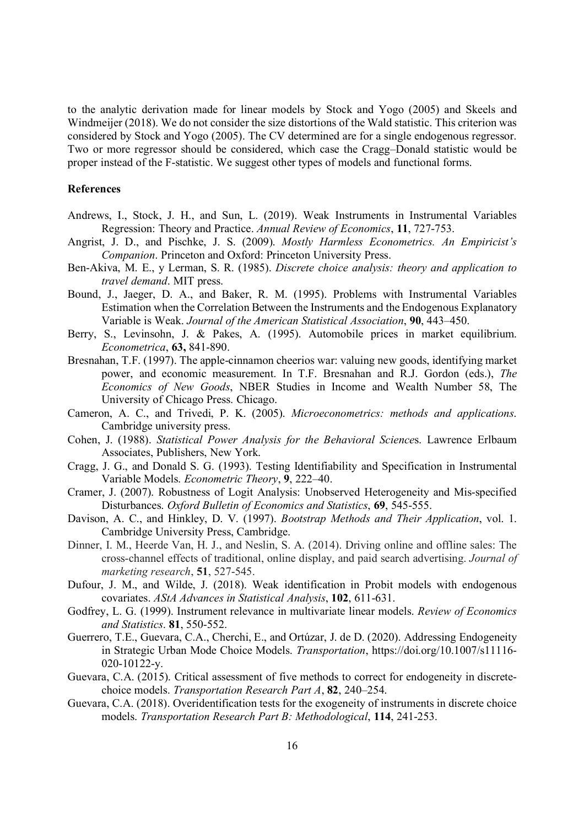to the analytic derivation made for linear models by Stock and Yogo (2005) and Skeels and Windmeijer (2018). We do not consider the size distortions of the Wald statistic. This criterion was considered by Stock and Yogo (2005). The CV determined are for a single endogenous regressor. Two or more regressor should be considered, which case the Cragg–Donald statistic would be proper instead of the F-statistic. We suggest other types of models and functional forms.

## **References**

- Andrews, I., Stock, J. H., and Sun, L. (2019). Weak Instruments in Instrumental Variables Regression: Theory and Practice. *Annual Review of Economics*, **11**, 727-753.
- Angrist, J. D., and Pischke, J. S. (2009). *Mostly Harmless Econometrics. An Empiricist's Companion*. Princeton and Oxford: Princeton University Press.
- Ben-Akiva, M. E., y Lerman, S. R. (1985). *Discrete choice analysis: theory and application to travel demand*. MIT press.
- Bound, J., Jaeger, D. A., and Baker, R. M. (1995). Problems with Instrumental Variables Estimation when the Correlation Between the Instruments and the Endogenous Explanatory Variable is Weak. *Journal of the American Statistical Association*, **90**, 443–450.
- Berry, S., Levinsohn, J. & Pakes, A. (1995). Automobile prices in market equilibrium. *Econometrica*, **63,** 841-890.
- Bresnahan, T.F. (1997). The apple-cinnamon cheerios war: valuing new goods, identifying market power, and economic measurement. In T.F. Bresnahan and R.J. Gordon (eds.), *The Economics of New Goods*, NBER Studies in Income and Wealth Number 58, The University of Chicago Press. Chicago.
- Cameron, A. C., and Trivedi, P. K. (2005). *Microeconometrics: methods and applications*. Cambridge university press.
- Cohen, J. (1988). *Statistical Power Analysis for the Behavioral Science*s. Lawrence Erlbaum Associates, Publishers, New York.
- Cragg, J. G., and Donald S. G. (1993). Testing Identifiability and Specification in Instrumental Variable Models. *Econometric Theory*, **9**, 222–40.
- Cramer, J. (2007). Robustness of Logit Analysis: Unobserved Heterogeneity and Mis-specified Disturbances. *Oxford Bulletin of Economics and Statistics*, **69**, 545-555.
- Davison, A. C., and Hinkley, D. V. (1997). *Bootstrap Methods and Their Application*, vol. 1. Cambridge University Press, Cambridge.
- Dinner, I. M., Heerde Van, H. J., and Neslin, S. A. (2014). Driving online and offline sales: The cross-channel effects of traditional, online display, and paid search advertising. *Journal of marketing research*, **51**, 527-545.
- Dufour, J. M., and Wilde, J. (2018). Weak identification in Probit models with endogenous covariates. *AStA Advances in Statistical Analysis*, **102**, 611-631.
- Godfrey, L. G. (1999). Instrument relevance in multivariate linear models. *Review of Economics and Statistics*. **81**, 550-552.
- Guerrero, T.E., Guevara, C.A., Cherchi, E., and Ortúzar, J. de D. (2020). Addressing Endogeneity in Strategic Urban Mode Choice Models. *Transportation*, https://doi.org/10.1007/s11116- 020-10122-y.
- Guevara, C.A. (2015). Critical assessment of five methods to correct for endogeneity in discretechoice models. *Transportation Research Part A*, **82**, 240–254.
- Guevara, C.A. (2018). Overidentification tests for the exogeneity of instruments in discrete choice models. *Transportation Research Part B: Methodological*, **114**, 241-253.